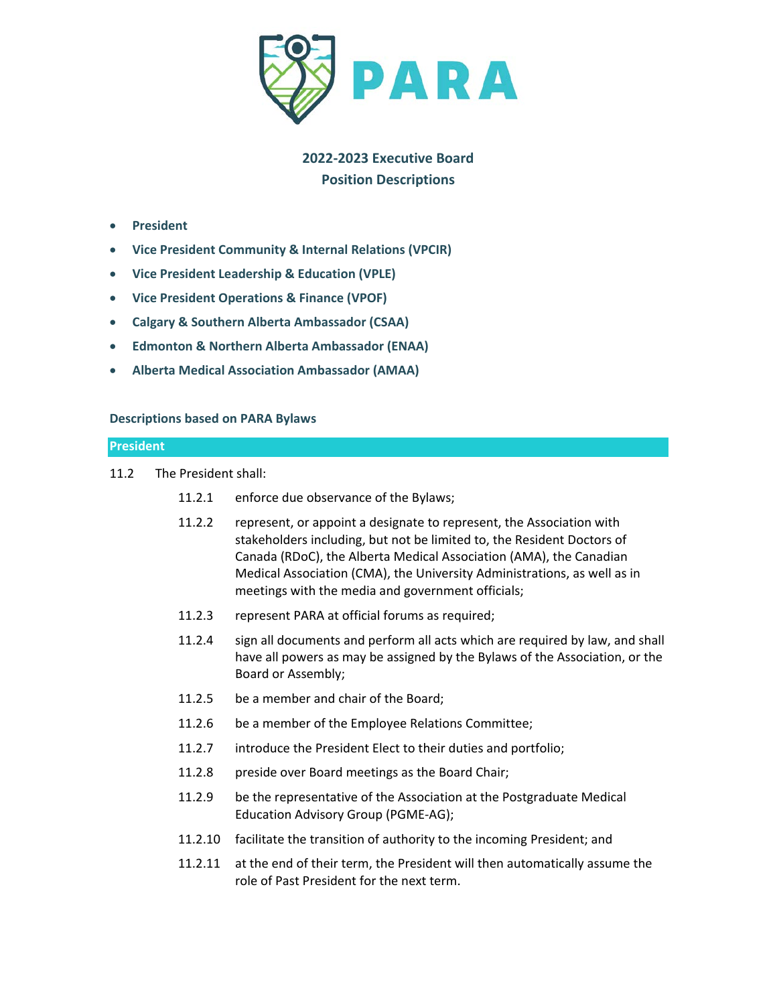

# **2022-2023 Executive Board Position Descriptions**

- **President**
- **Vice President Community & Internal Relations (VPCIR)**
- **Vice President Leadership & Education (VPLE)**
- **Vice President Operations & Finance (VPOF)**
- **Calgary & Southern Alberta Ambassador (CSAA)**
- **Edmonton & Northern Alberta Ambassador (ENAA)**
- **Alberta Medical Association Ambassador (AMAA)**

## **Descriptions based on PARA Bylaws**

### **President**

- 11.2 The President shall:
	- 11.2.1 enforce due observance of the Bylaws;
	- 11.2.2 represent, or appoint a designate to represent, the Association with stakeholders including, but not be limited to, the Resident Doctors of Canada (RDoC), the Alberta Medical Association (AMA), the Canadian Medical Association (CMA), the University Administrations, as well as in meetings with the media and government officials;
	- 11.2.3 represent PARA at official forums as required;
	- 11.2.4 sign all documents and perform all acts which are required by law, and shall have all powers as may be assigned by the Bylaws of the Association, or the Board or Assembly;
	- 11.2.5 be a member and chair of the Board;
	- 11.2.6 be a member of the Employee Relations Committee;
	- 11.2.7 introduce the President Elect to their duties and portfolio;
	- 11.2.8 preside over Board meetings as the Board Chair;
	- 11.2.9 be the representative of the Association at the Postgraduate Medical Education Advisory Group (PGME-AG);
	- 11.2.10 facilitate the transition of authority to the incoming President; and
	- 11.2.11 at the end of their term, the President will then automatically assume the role of Past President for the next term.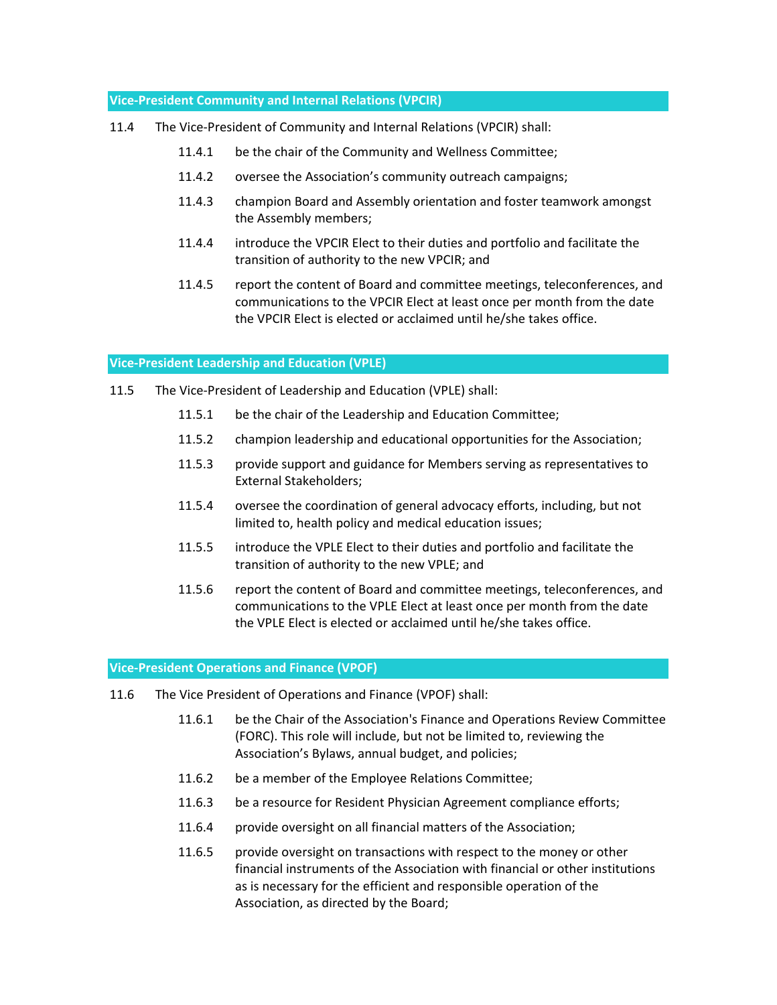## **Vice-President Community and Internal Relations (VPCIR)**

- 11.4 The Vice-President of Community and Internal Relations (VPCIR) shall:
	- 11.4.1 be the chair of the Community and Wellness Committee;
	- 11.4.2 oversee the Association's community outreach campaigns;
	- 11.4.3 champion Board and Assembly orientation and foster teamwork amongst the Assembly members;
	- 11.4.4 introduce the VPCIR Elect to their duties and portfolio and facilitate the transition of authority to the new VPCIR; and
	- 11.4.5 report the content of Board and committee meetings, teleconferences, and communications to the VPCIR Elect at least once per month from the date the VPCIR Elect is elected or acclaimed until he/she takes office.

### **Vice-President Leadership and Education (VPLE)**

- 11.5 The Vice-President of Leadership and Education (VPLE) shall:
	- 11.5.1 be the chair of the Leadership and Education Committee;
	- 11.5.2 champion leadership and educational opportunities for the Association;
	- 11.5.3 provide support and guidance for Members serving as representatives to External Stakeholders;
	- 11.5.4 oversee the coordination of general advocacy efforts, including, but not limited to, health policy and medical education issues;
	- 11.5.5 introduce the VPLE Elect to their duties and portfolio and facilitate the transition of authority to the new VPLE; and
	- 11.5.6 report the content of Board and committee meetings, teleconferences, and communications to the VPLE Elect at least once per month from the date the VPLE Elect is elected or acclaimed until he/she takes office.

### **Vice-President Operations and Finance (VPOF)**

- 11.6 The Vice President of Operations and Finance (VPOF) shall:
	- 11.6.1 be the Chair of the Association's Finance and Operations Review Committee (FORC). This role will include, but not be limited to, reviewing the Association's Bylaws, annual budget, and policies;
	- 11.6.2 be a member of the Employee Relations Committee;
	- 11.6.3 be a resource for Resident Physician Agreement compliance efforts;
	- 11.6.4 provide oversight on all financial matters of the Association;
	- 11.6.5 provide oversight on transactions with respect to the money or other financial instruments of the Association with financial or other institutions as is necessary for the efficient and responsible operation of the Association, as directed by the Board;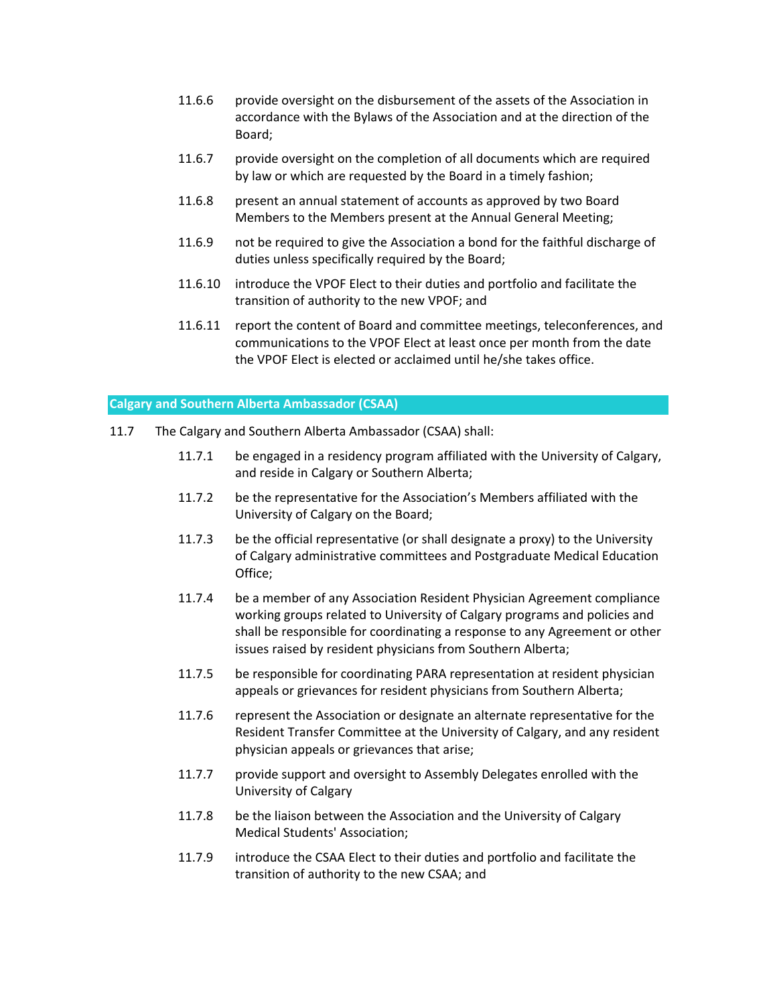- 11.6.6 provide oversight on the disbursement of the assets of the Association in accordance with the Bylaws of the Association and at the direction of the Board;
- 11.6.7 provide oversight on the completion of all documents which are required by law or which are requested by the Board in a timely fashion;
- 11.6.8 present an annual statement of accounts as approved by two Board Members to the Members present at the Annual General Meeting;
- 11.6.9 not be required to give the Association a bond for the faithful discharge of duties unless specifically required by the Board;
- 11.6.10 introduce the VPOF Elect to their duties and portfolio and facilitate the transition of authority to the new VPOF; and
- 11.6.11 report the content of Board and committee meetings, teleconferences, and communications to the VPOF Elect at least once per month from the date the VPOF Elect is elected or acclaimed until he/she takes office.

### **Calgary and Southern Alberta Ambassador (CSAA)**

- 11.7 The Calgary and Southern Alberta Ambassador (CSAA) shall:
	- 11.7.1 be engaged in a residency program affiliated with the University of Calgary, and reside in Calgary or Southern Alberta;
	- 11.7.2 be the representative for the Association's Members affiliated with the University of Calgary on the Board;
	- 11.7.3 be the official representative (or shall designate a proxy) to the University of Calgary administrative committees and Postgraduate Medical Education Office;
	- 11.7.4 be a member of any Association Resident Physician Agreement compliance working groups related to University of Calgary programs and policies and shall be responsible for coordinating a response to any Agreement or other issues raised by resident physicians from Southern Alberta;
	- 11.7.5 be responsible for coordinating PARA representation at resident physician appeals or grievances for resident physicians from Southern Alberta;
	- 11.7.6 represent the Association or designate an alternate representative for the Resident Transfer Committee at the University of Calgary, and any resident physician appeals or grievances that arise;
	- 11.7.7 provide support and oversight to Assembly Delegates enrolled with the University of Calgary
	- 11.7.8 be the liaison between the Association and the University of Calgary Medical Students' Association;
	- 11.7.9 introduce the CSAA Elect to their duties and portfolio and facilitate the transition of authority to the new CSAA; and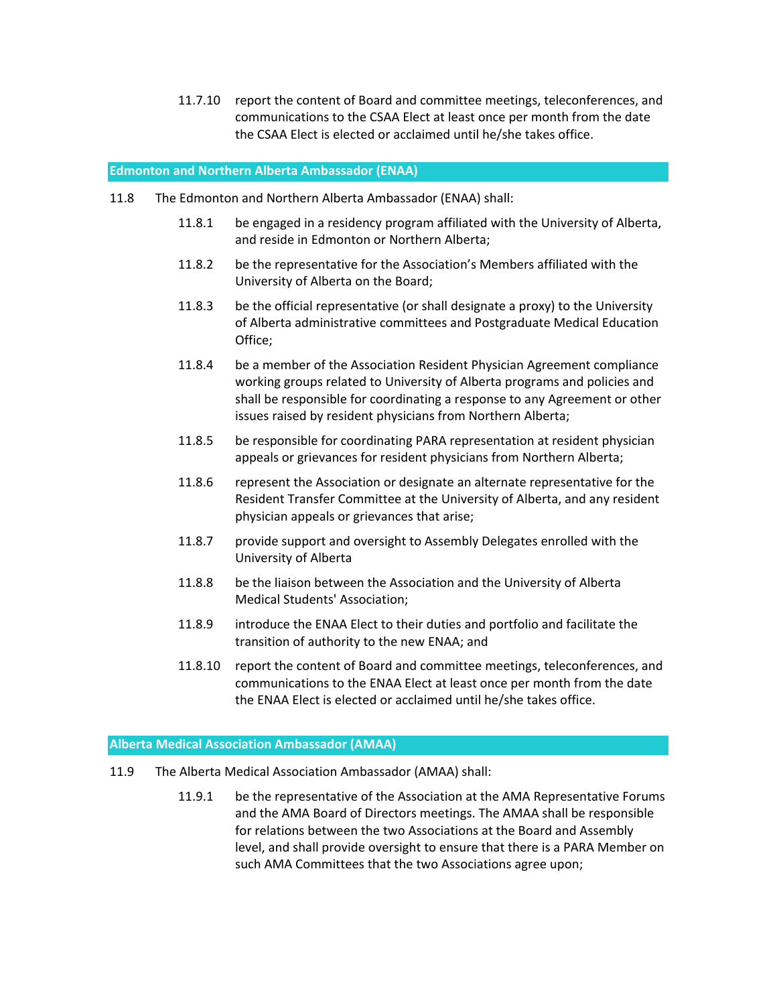11.7.10 report the content of Board and committee meetings, teleconferences, and communications to the CSAA Elect at least once per month from the date the CSAA Elect is elected or acclaimed until he/she takes office.

#### **Edmonton and Northern Alberta Ambassador (ENAA)**

- 11.8 The Edmonton and Northern Alberta Ambassador (ENAA) shall:
	- 11.8.1 be engaged in a residency program affiliated with the University of Alberta, and reside in Edmonton or Northern Alberta;
	- 11.8.2 be the representative for the Association's Members affiliated with the University of Alberta on the Board;
	- 11.8.3 be the official representative (or shall designate a proxy) to the University of Alberta administrative committees and Postgraduate Medical Education Office;
	- 11.8.4 be a member of the Association Resident Physician Agreement compliance working groups related to University of Alberta programs and policies and shall be responsible for coordinating a response to any Agreement or other issues raised by resident physicians from Northern Alberta;
	- 11.8.5 be responsible for coordinating PARA representation at resident physician appeals or grievances for resident physicians from Northern Alberta;
	- 11.8.6 represent the Association or designate an alternate representative for the Resident Transfer Committee at the University of Alberta, and any resident physician appeals or grievances that arise;
	- 11.8.7 provide support and oversight to Assembly Delegates enrolled with the University of Alberta
	- 11.8.8 be the liaison between the Association and the University of Alberta Medical Students' Association;
	- 11.8.9 introduce the ENAA Elect to their duties and portfolio and facilitate the transition of authority to the new ENAA; and
	- 11.8.10 report the content of Board and committee meetings, teleconferences, and communications to the ENAA Elect at least once per month from the date the ENAA Elect is elected or acclaimed until he/she takes office.

### **Alberta Medical Association Ambassador (AMAA)**

- 11.9 The Alberta Medical Association Ambassador (AMAA) shall:
	- 11.9.1 be the representative of the Association at the AMA Representative Forums and the AMA Board of Directors meetings. The AMAA shall be responsible for relations between the two Associations at the Board and Assembly level, and shall provide oversight to ensure that there is a PARA Member on such AMA Committees that the two Associations agree upon;